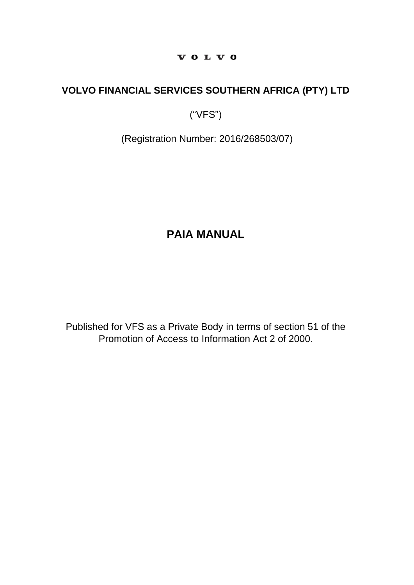#### VOLVO

# **VOLVO FINANCIAL SERVICES SOUTHERN AFRICA (PTY) LTD**

("VFS")

(Registration Number: 2016/268503/07)

# **PAIA MANUAL**

Published for VFS as a Private Body in terms of section 51 of the Promotion of Access to Information Act 2 of 2000.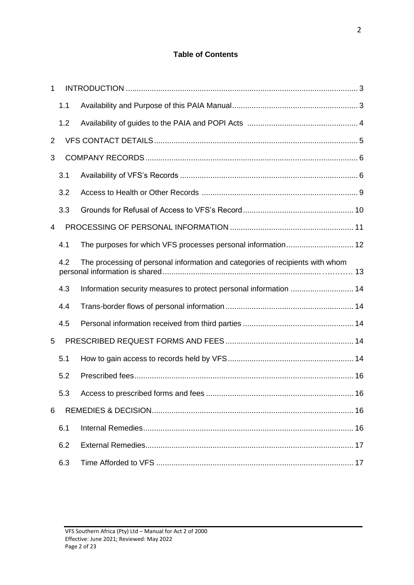# **Table of Contents**

| 1              |     |                                                                               |    |
|----------------|-----|-------------------------------------------------------------------------------|----|
|                | 1.1 |                                                                               |    |
|                | 1.2 |                                                                               |    |
| $\overline{2}$ |     |                                                                               |    |
| 3              |     |                                                                               |    |
|                | 3.1 |                                                                               |    |
|                | 3.2 |                                                                               |    |
|                | 3.3 |                                                                               |    |
| 4              |     |                                                                               |    |
|                | 4.1 |                                                                               |    |
|                | 4.2 | The processing of personal information and categories of recipients with whom |    |
|                | 4.3 | Information security measures to protect personal information  14             |    |
|                | 4.4 |                                                                               |    |
|                | 4.5 |                                                                               |    |
| 5              |     |                                                                               |    |
|                | 5.1 |                                                                               |    |
|                | 5.2 |                                                                               |    |
|                | 5.3 | Access to prescribed forms and fees                                           | 16 |
| 6              |     |                                                                               |    |
|                | 6.1 |                                                                               |    |
|                | 6.2 |                                                                               |    |
|                | 6.3 |                                                                               |    |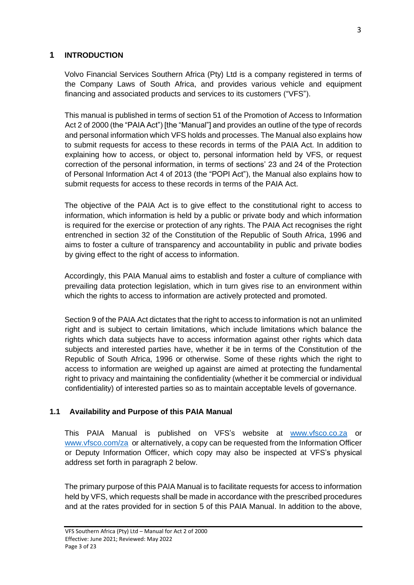#### <span id="page-2-0"></span>**1 INTRODUCTION**

Volvo Financial Services Southern Africa (Pty) Ltd is a company registered in terms of the Company Laws of South Africa, and provides various vehicle and equipment financing and associated products and services to its customers ("VFS").

This manual is published in terms of section 51 of the Promotion of Access to Information Act 2 of 2000 (the "PAIA Act") [the "Manual"] and provides an outline of the type of records and personal information which VFS holds and processes. The Manual also explains how to submit requests for access to these records in terms of the PAIA Act. In addition to explaining how to access, or object to, personal information held by VFS, or request correction of the personal information, in terms of sections' 23 and 24 of the Protection of Personal Information Act 4 of 2013 (the "POPI Act"), the Manual also explains how to submit requests for access to these records in terms of the PAIA Act.

The objective of the PAIA Act is to give effect to the constitutional right to access to information, which information is held by a public or private body and which information is required for the exercise or protection of any rights. The PAIA Act recognises the right entrenched in section 32 of the Constitution of the Republic of South Africa, 1996 and aims to foster a culture of transparency and accountability in public and private bodies by giving effect to the right of access to information.

Accordingly, this PAIA Manual aims to establish and foster a culture of compliance with prevailing data protection legislation, which in turn gives rise to an environment within which the rights to access to information are actively protected and promoted.

Section 9 of the PAIA Act dictates that the right to access to information is not an unlimited right and is subject to certain limitations, which include limitations which balance the rights which data subjects have to access information against other rights which data subjects and interested parties have, whether it be in terms of the Constitution of the Republic of South Africa, 1996 or otherwise. Some of these rights which the right to access to information are weighed up against are aimed at protecting the fundamental right to privacy and maintaining the confidentiality (whether it be commercial or individual confidentiality) of interested parties so as to maintain acceptable levels of governance.

#### <span id="page-2-1"></span>**1.1 Availability and Purpose of this PAIA Manual**

This PAIA Manual is published on VFS's website at [www.vfsco.co.za](http://www.vfsco.co.za/) or [www.vfsco.com/za](http://www.vfsco.com/za) or alternatively, a copy can be requested from the Information Officer or Deputy Information Officer, which copy may also be inspected at VFS's physical address set forth in paragraph 2 below.

The primary purpose of this PAIA Manual is to facilitate requests for access to information held by VFS, which requests shall be made in accordance with the prescribed procedures and at the rates provided for in section 5 of this PAIA Manual. In addition to the above,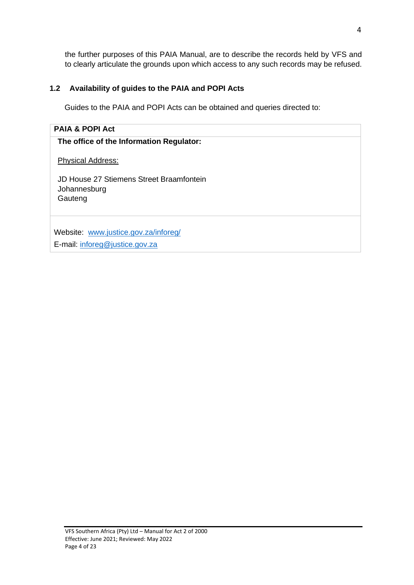the further purposes of this PAIA Manual, are to describe the records held by VFS and to clearly articulate the grounds upon which access to any such records may be refused.

# <span id="page-3-0"></span>**1.2 Availability of guides to the PAIA and POPI Acts**

Guides to the PAIA and POPI Acts can be obtained and queries directed to:

#### **PAIA & POPI Act**

#### **The office of the Information Regulator:**

Physical Address:

JD House 27 Stiemens Street Braamfontein Johannesburg **Gauteng** 

Website: [www.justice.gov.za/inforeg/](http://www.justice.gov.za/inforeg/)

E-mail: [inforeg@justice.gov.za](mailto:inforeg@justice.gov.za)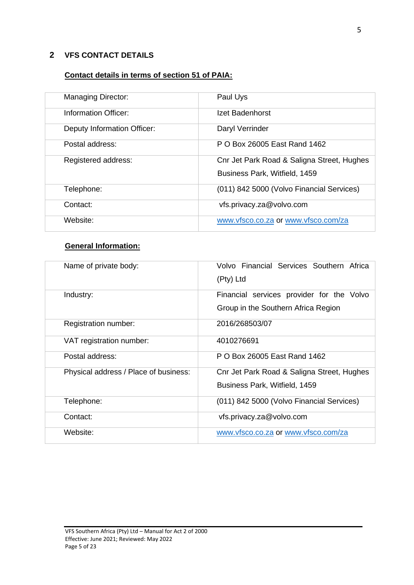#### <span id="page-4-0"></span>**2 VFS CONTACT DETAILS**

# **Contact details in terms of section 51 of PAIA:**

| <b>Managing Director:</b>   | Paul Uys                                   |
|-----------------------------|--------------------------------------------|
| Information Officer:        | Izet Badenhorst                            |
| Deputy Information Officer: | Daryl Verrinder                            |
| Postal address:             | P O Box 26005 East Rand 1462               |
| Registered address:         | Cnr Jet Park Road & Saligna Street, Hughes |
|                             | Business Park, Witfield, 1459              |
| Telephone:                  | (011) 842 5000 (Volvo Financial Services)  |
| Contact:                    | vfs.privacy.za@volvo.com                   |
| Website:                    | www.vfsco.co.za or www.vfsco.com/za        |

# **General Information:**

| Name of private body:                 | Volvo Financial Services Southern Africa<br>(Pty) Ltd                            |
|---------------------------------------|----------------------------------------------------------------------------------|
| Industry:                             | Financial services provider for the Volvo<br>Group in the Southern Africa Region |
| Registration number:                  | 2016/268503/07                                                                   |
| VAT registration number:              | 4010276691                                                                       |
| Postal address:                       | P O Box 26005 East Rand 1462                                                     |
| Physical address / Place of business: | Cnr Jet Park Road & Saligna Street, Hughes<br>Business Park, Witfield, 1459      |
| Telephone:                            | (011) 842 5000 (Volvo Financial Services)                                        |
| Contact:                              | vfs.privacy.za@volvo.com                                                         |
| Website:                              | www.vfsco.co.za or www.vfsco.com/za                                              |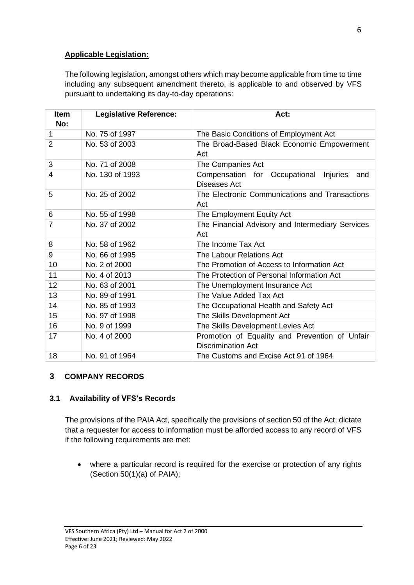#### **Applicable Legislation:**

The following legislation, amongst others which may become applicable from time to time including any subsequent amendment thereto, is applicable to and observed by VFS pursuant to undertaking its day-to-day operations:

| Item<br>No:    | <b>Legislative Reference:</b> | Act:                                                                        |  |  |
|----------------|-------------------------------|-----------------------------------------------------------------------------|--|--|
| 1              | No. 75 of 1997                | The Basic Conditions of Employment Act                                      |  |  |
| $\overline{2}$ | No. 53 of 2003                | The Broad-Based Black Economic Empowerment<br>Act                           |  |  |
| 3              | No. 71 of 2008                | The Companies Act                                                           |  |  |
| $\overline{4}$ | No. 130 of 1993               | Compensation for Occupational Injuries<br>and<br>Diseases Act               |  |  |
| 5              | No. 25 of 2002                | The Electronic Communications and Transactions<br>Act                       |  |  |
| 6              | No. 55 of 1998                | The Employment Equity Act                                                   |  |  |
| $\overline{7}$ | No. 37 of 2002                | The Financial Advisory and Intermediary Services<br>Act                     |  |  |
| 8              | No. 58 of 1962                | The Income Tax Act                                                          |  |  |
| 9              | No. 66 of 1995                | The Labour Relations Act                                                    |  |  |
| 10             | No. 2 of 2000                 | The Promotion of Access to Information Act                                  |  |  |
| 11             | No. 4 of 2013                 | The Protection of Personal Information Act                                  |  |  |
| 12             | No. 63 of 2001                | The Unemployment Insurance Act                                              |  |  |
| 13             | No. 89 of 1991                | The Value Added Tax Act                                                     |  |  |
| 14             | No. 85 of 1993                | The Occupational Health and Safety Act                                      |  |  |
| 15             | No. 97 of 1998                | The Skills Development Act                                                  |  |  |
| 16             | No. 9 of 1999                 | The Skills Development Levies Act                                           |  |  |
| 17             | No. 4 of 2000                 | Promotion of Equality and Prevention of Unfair<br><b>Discrimination Act</b> |  |  |
| 18             | No. 91 of 1964                | The Customs and Excise Act 91 of 1964                                       |  |  |

# <span id="page-5-0"></span>**3 COMPANY RECORDS**

#### <span id="page-5-1"></span>**3.1 Availability of VFS's Records**

The provisions of the PAIA Act, specifically the provisions of section 50 of the Act, dictate that a requester for access to information must be afforded access to any record of VFS if the following requirements are met:

• where a particular record is required for the exercise or protection of any rights (Section  $50(1)(a)$  of PAIA);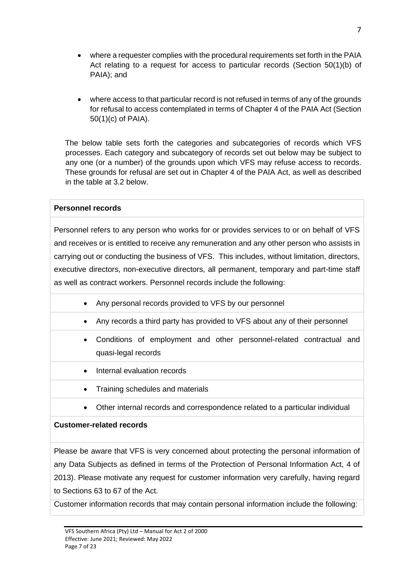- where a requester complies with the procedural requirements set forth in the PAIA Act relating to a request for access to particular records (Section 50(1)(b) of PAIA); and
- where access to that particular record is not refused in terms of any of the grounds for refusal to access contemplated in terms of Chapter 4 of the PAIA Act (Section 50(1)(c) of PAIA).

The below table sets forth the categories and subcategories of records which VFS processes. Each category and subcategory of records set out below may be subject to any one (or a number) of the grounds upon which VFS may refuse access to records. These grounds for refusal are set out in Chapter 4 of the PAIA Act, as well as described in the table at 3.2 below.

#### **Personnel records**

Personnel refers to any person who works for or provides services to or on behalf of VFS and receives or is entitled to receive any remuneration and any other person who assists in carrying out or conducting the business of VFS. This includes, without limitation, directors, executive directors, non-executive directors, all permanent, temporary and part-time staff as well as contract workers. Personnel records include the following:

- Any personal records provided to VFS by our personnel
- Any records a third party has provided to VFS about any of their personnel
- Conditions of employment and other personnel-related contractual and quasi-legal records
- Internal evaluation records
- Training schedules and materials
- Other internal records and correspondence related to a particular individual

# **Customer-related records**

Please be aware that VFS is very concerned about protecting the personal information of any Data Subjects as defined in terms of the Protection of Personal Information Act, 4 of 2013). Please motivate any request for customer information very carefully, having regard to Sections 63 to 67 of the Act.

Customer information records that may contain personal information include the following: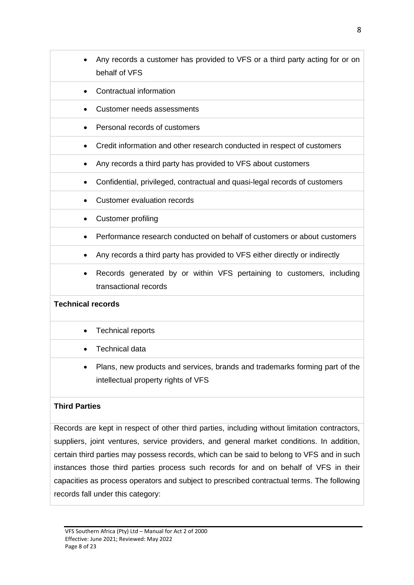• Any records a customer has provided to VFS or a third party acting for or on behalf of VFS • Contractual information • Customer needs assessments • Personal records of customers • Credit information and other research conducted in respect of customers • Any records a third party has provided to VFS about customers • Confidential, privileged, contractual and quasi-legal records of customers • Customer evaluation records • Customer profiling • Performance research conducted on behalf of customers or about customers • Any records a third party has provided to VFS either directly or indirectly • Records generated by or within VFS pertaining to customers, including transactional records **Technical records** • Technical reports • Technical data • Plans, new products and services, brands and trademarks forming part of the intellectual property rights of VFS

# **Third Parties**

Records are kept in respect of other third parties, including without limitation contractors, suppliers, joint ventures, service providers, and general market conditions. In addition, certain third parties may possess records, which can be said to belong to VFS and in such instances those third parties process such records for and on behalf of VFS in their capacities as process operators and subject to prescribed contractual terms. The following records fall under this category: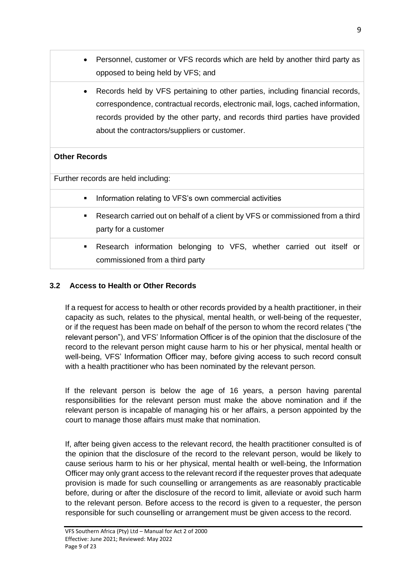- Personnel, customer or VFS records which are held by another third party as opposed to being held by VFS; and
- Records held by VFS pertaining to other parties, including financial records, correspondence, contractual records, electronic mail, logs, cached information, records provided by the other party, and records third parties have provided about the contractors/suppliers or customer.

#### **Other Records**

Further records are held including:

- Information relating to VFS's own commercial activities
- Research carried out on behalf of a client by VFS or commissioned from a third party for a customer
- Research information belonging to VFS, whether carried out itself or commissioned from a third party

#### <span id="page-8-0"></span>**3.2 Access to Health or Other Records**

If a request for access to health or other records provided by a health practitioner, in their capacity as such, relates to the physical, mental health, or well-being of the requester, or if the request has been made on behalf of the person to whom the record relates ("the relevant person"), and VFS' Information Officer is of the opinion that the disclosure of the record to the relevant person might cause harm to his or her physical, mental health or well-being, VFS' Information Officer may, before giving access to such record consult with a health practitioner who has been nominated by the relevant person.

If the relevant person is below the age of 16 years, a person having parental responsibilities for the relevant person must make the above nomination and if the relevant person is incapable of managing his or her affairs, a person appointed by the court to manage those affairs must make that nomination.

If, after being given access to the relevant record, the health practitioner consulted is of the opinion that the disclosure of the record to the relevant person, would be likely to cause serious harm to his or her physical, mental health or well-being, the Information Officer may only grant access to the relevant record if the requester proves that adequate provision is made for such counselling or arrangements as are reasonably practicable before, during or after the disclosure of the record to limit, alleviate or avoid such harm to the relevant person. Before access to the record is given to a requester, the person responsible for such counselling or arrangement must be given access to the record.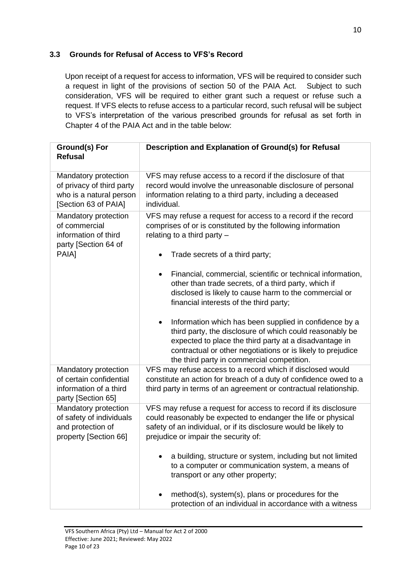#### <span id="page-9-0"></span>**3.3 Grounds for Refusal of Access to VFS's Record**

Upon receipt of a request for access to information, VFS will be required to consider such a request in light of the provisions of section 50 of the PAIA Act. Subject to such consideration, VFS will be required to either grant such a request or refuse such a request. If VFS elects to refuse access to a particular record, such refusal will be subject to VFS's interpretation of the various prescribed grounds for refusal as set forth in Chapter 4 of the PAIA Act and in the table below:

| <b>Ground(s) For</b><br><b>Refusal</b>                                                               | Description and Explanation of Ground(s) for Refusal                                                                                                                                                                                                                                                                                                                                                |  |  |  |
|------------------------------------------------------------------------------------------------------|-----------------------------------------------------------------------------------------------------------------------------------------------------------------------------------------------------------------------------------------------------------------------------------------------------------------------------------------------------------------------------------------------------|--|--|--|
| Mandatory protection<br>of privacy of third party<br>who is a natural person<br>[Section 63 of PAIA] | VFS may refuse access to a record if the disclosure of that<br>record would involve the unreasonable disclosure of personal<br>information relating to a third party, including a deceased<br>individual.                                                                                                                                                                                           |  |  |  |
| Mandatory protection<br>of commercial<br>information of third<br>party [Section 64 of<br>PAIA]       | VFS may refuse a request for access to a record if the record<br>comprises of or is constituted by the following information<br>relating to a third party $-$<br>Trade secrets of a third party;                                                                                                                                                                                                    |  |  |  |
|                                                                                                      | Financial, commercial, scientific or technical information,<br>other than trade secrets, of a third party, which if<br>disclosed is likely to cause harm to the commercial or<br>financial interests of the third party;                                                                                                                                                                            |  |  |  |
|                                                                                                      | Information which has been supplied in confidence by a<br>$\bullet$<br>third party, the disclosure of which could reasonably be<br>expected to place the third party at a disadvantage in<br>contractual or other negotiations or is likely to prejudice<br>the third party in commercial competition.                                                                                              |  |  |  |
| Mandatory protection<br>of certain confidential<br>information of a third<br>party [Section 65]      | VFS may refuse access to a record which if disclosed would<br>constitute an action for breach of a duty of confidence owed to a<br>third party in terms of an agreement or contractual relationship.                                                                                                                                                                                                |  |  |  |
| Mandatory protection<br>of safety of individuals<br>and protection of<br>property [Section 66]       | VFS may refuse a request for access to record if its disclosure<br>could reasonably be expected to endanger the life or physical<br>safety of an individual, or if its disclosure would be likely to<br>prejudice or impair the security of:<br>a building, structure or system, including but not limited<br>to a computer or communication system, a means of<br>transport or any other property; |  |  |  |
|                                                                                                      | method(s), system(s), plans or procedures for the<br>protection of an individual in accordance with a witness                                                                                                                                                                                                                                                                                       |  |  |  |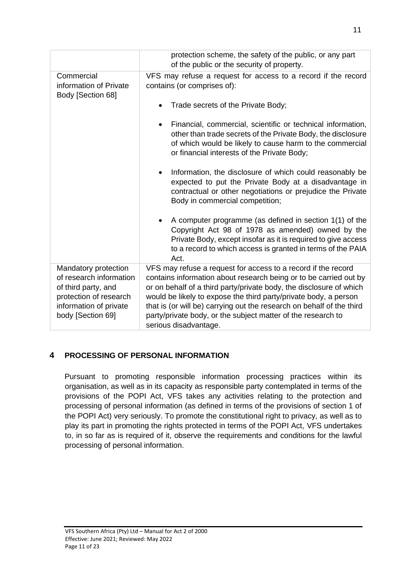|                                                                                                                                                 | protection scheme, the safety of the public, or any part<br>of the public or the security of property.                                                                                                                                                                                                                                                                                                                                          |  |  |
|-------------------------------------------------------------------------------------------------------------------------------------------------|-------------------------------------------------------------------------------------------------------------------------------------------------------------------------------------------------------------------------------------------------------------------------------------------------------------------------------------------------------------------------------------------------------------------------------------------------|--|--|
| Commercial<br>information of Private<br>Body [Section 68]                                                                                       | VFS may refuse a request for access to a record if the record<br>contains (or comprises of):                                                                                                                                                                                                                                                                                                                                                    |  |  |
|                                                                                                                                                 | Trade secrets of the Private Body;                                                                                                                                                                                                                                                                                                                                                                                                              |  |  |
|                                                                                                                                                 | Financial, commercial, scientific or technical information,<br>other than trade secrets of the Private Body, the disclosure<br>of which would be likely to cause harm to the commercial<br>or financial interests of the Private Body;                                                                                                                                                                                                          |  |  |
|                                                                                                                                                 | Information, the disclosure of which could reasonably be<br>$\bullet$<br>expected to put the Private Body at a disadvantage in<br>contractual or other negotiations or prejudice the Private<br>Body in commercial competition;                                                                                                                                                                                                                 |  |  |
|                                                                                                                                                 | A computer programme (as defined in section 1(1) of the<br>Copyright Act 98 of 1978 as amended) owned by the<br>Private Body, except insofar as it is required to give access<br>to a record to which access is granted in terms of the PAIA<br>Act.                                                                                                                                                                                            |  |  |
| Mandatory protection<br>of research information<br>of third party, and<br>protection of research<br>information of private<br>body [Section 69] | VFS may refuse a request for access to a record if the record<br>contains information about research being or to be carried out by<br>or on behalf of a third party/private body, the disclosure of which<br>would be likely to expose the third party/private body, a person<br>that is (or will be) carrying out the research on behalf of the third<br>party/private body, or the subject matter of the research to<br>serious disadvantage. |  |  |

# <span id="page-10-0"></span>**4 PROCESSING OF PERSONAL INFORMATION**

Pursuant to promoting responsible information processing practices within its organisation, as well as in its capacity as responsible party contemplated in terms of the provisions of the POPI Act, VFS takes any activities relating to the protection and processing of personal information (as defined in terms of the provisions of section 1 of the POPI Act) very seriously. To promote the constitutional right to privacy, as well as to play its part in promoting the rights protected in terms of the POPI Act, VFS undertakes to, in so far as is required of it, observe the requirements and conditions for the lawful processing of personal information.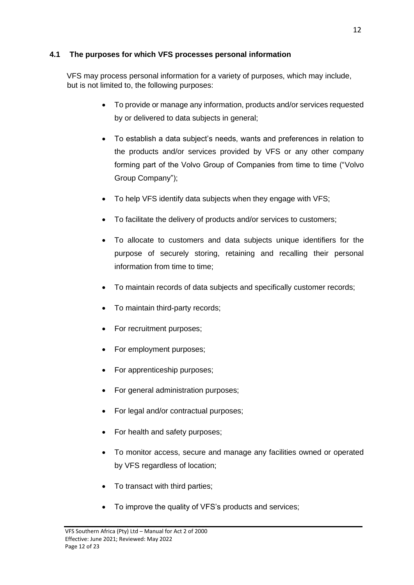#### <span id="page-11-0"></span>**4.1 The purposes for which VFS processes personal information**

VFS may process personal information for a variety of purposes, which may include, but is not limited to, the following purposes:

- To provide or manage any information, products and/or services requested by or delivered to data subjects in general;
- To establish a data subject's needs, wants and preferences in relation to the products and/or services provided by VFS or any other company forming part of the Volvo Group of Companies from time to time ("Volvo Group Company");
- To help VFS identify data subjects when they engage with VFS;
- To facilitate the delivery of products and/or services to customers;
- To allocate to customers and data subjects unique identifiers for the purpose of securely storing, retaining and recalling their personal information from time to time;
- To maintain records of data subjects and specifically customer records;
- To maintain third-party records;
- For recruitment purposes;
- For employment purposes;
- For apprenticeship purposes;
- For general administration purposes;
- For legal and/or contractual purposes;
- For health and safety purposes;
- To monitor access, secure and manage any facilities owned or operated by VFS regardless of location;
- To transact with third parties;
- To improve the quality of VFS's products and services;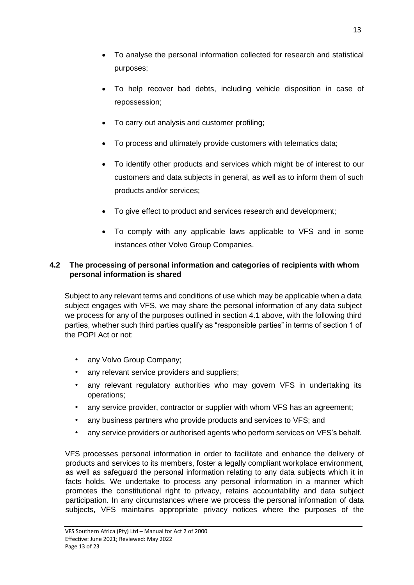- To analyse the personal information collected for research and statistical purposes;
- To help recover bad debts, including vehicle disposition in case of repossession;
- To carry out analysis and customer profiling;
- To process and ultimately provide customers with telematics data;
- To identify other products and services which might be of interest to our customers and data subjects in general, as well as to inform them of such products and/or services;
- To give effect to product and services research and development;
- To comply with any applicable laws applicable to VFS and in some instances other Volvo Group Companies.

#### **4.2 The processing of personal information and categories of recipients with whom personal information is shared**

Subject to any relevant terms and conditions of use which may be applicable when a data subject engages with VFS, we may share the personal information of any data subject we process for any of the purposes outlined in section 4.1 above, with the following third parties, whether such third parties qualify as "responsible parties" in terms of section 1 of the POPI Act or not:

- any Volvo Group Company;
- any relevant service providers and suppliers;
- any relevant regulatory authorities who may govern VFS in undertaking its operations;
- any service provider, contractor or supplier with whom VFS has an agreement;
- any business partners who provide products and services to VFS; and
- any service providers or authorised agents who perform services on VFS's behalf.

VFS processes personal information in order to facilitate and enhance the delivery of products and services to its members, foster a legally compliant workplace environment, as well as safeguard the personal information relating to any data subjects which it in facts holds. We undertake to process any personal information in a manner which promotes the constitutional right to privacy, retains accountability and data subject participation. In any circumstances where we process the personal information of data subjects, VFS maintains appropriate privacy notices where the purposes of the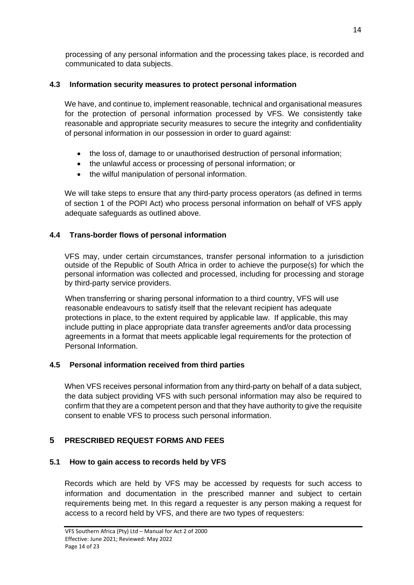processing of any personal information and the processing takes place, is recorded and communicated to data subjects.

# <span id="page-13-0"></span>**4.3 Information security measures to protect personal information**

We have, and continue to, implement reasonable, technical and organisational measures for the protection of personal information processed by VFS. We consistently take reasonable and appropriate security measures to secure the integrity and confidentiality of personal information in our possession in order to guard against:

- the loss of, damage to or unauthorised destruction of personal information;
- the unlawful access or processing of personal information; or
- the wilful manipulation of personal information.

We will take steps to ensure that any third-party process operators (as defined in terms of section 1 of the POPI Act) who process personal information on behalf of VFS apply adequate safeguards as outlined above.

# <span id="page-13-1"></span>**4.4 Trans-border flows of personal information**

VFS may, under certain circumstances, transfer personal information to a jurisdiction outside of the Republic of South Africa in order to achieve the purpose(s) for which the personal information was collected and processed, including for processing and storage by third-party service providers.

When transferring or sharing personal information to a third country, VFS will use reasonable endeavours to satisfy itself that the relevant recipient has adequate protections in place, to the extent required by applicable law. If applicable, this may include putting in place appropriate data transfer agreements and/or data processing agreements in a format that meets applicable legal requirements for the protection of Personal Information.

# <span id="page-13-2"></span>**4.5 Personal information received from third parties**

When VFS receives personal information from any third-party on behalf of a data subject, the data subject providing VFS with such personal information may also be required to confirm that they are a competent person and that they have authority to give the requisite consent to enable VFS to process such personal information.

# <span id="page-13-3"></span>**5 PRESCRIBED REQUEST FORMS AND FEES**

# <span id="page-13-4"></span>**5.1 How to gain access to records held by VFS**

Records which are held by VFS may be accessed by requests for such access to information and documentation in the prescribed manner and subject to certain requirements being met. In this regard a requester is any person making a request for access to a record held by VFS, and there are two types of requesters: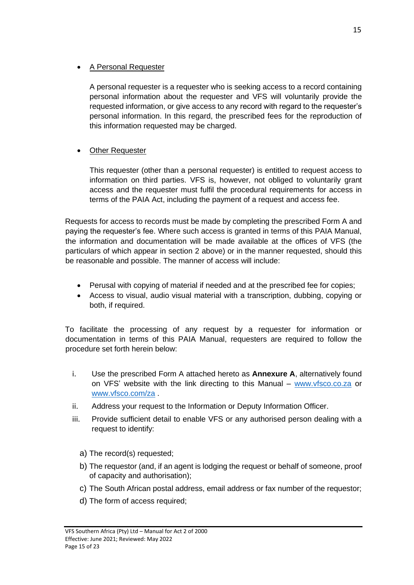#### • A Personal Requester

A personal requester is a requester who is seeking access to a record containing personal information about the requester and VFS will voluntarily provide the requested information, or give access to any record with regard to the requester's personal information. In this regard, the prescribed fees for the reproduction of this information requested may be charged.

# **Other Requester**

This requester (other than a personal requester) is entitled to request access to information on third parties. VFS is, however, not obliged to voluntarily grant access and the requester must fulfil the procedural requirements for access in terms of the PAIA Act, including the payment of a request and access fee.

Requests for access to records must be made by completing the prescribed Form A and paying the requester's fee. Where such access is granted in terms of this PAIA Manual, the information and documentation will be made available at the offices of VFS (the particulars of which appear in section 2 above) or in the manner requested, should this be reasonable and possible. The manner of access will include:

- Perusal with copying of material if needed and at the prescribed fee for copies;
- Access to visual, audio visual material with a transcription, dubbing, copying or both, if required.

To facilitate the processing of any request by a requester for information or documentation in terms of this PAIA Manual, requesters are required to follow the procedure set forth herein below:

- i. Use the prescribed Form A attached hereto as **Annexure A**, alternatively found on VFS' website with the link directing to this Manual – [www.vfsco.co.za](http://www.vfsco.co.za/) or [www.vfsco.com/za](http://www.vfsco.com/za) .
- ii. Address your request to the Information or Deputy Information Officer.
- iii. Provide sufficient detail to enable VFS or any authorised person dealing with a request to identify:
	- a) The record(s) requested;
	- b) The requestor (and, if an agent is lodging the request or behalf of someone, proof of capacity and authorisation);
	- c) The South African postal address, email address or fax number of the requestor;
	- d) The form of access required;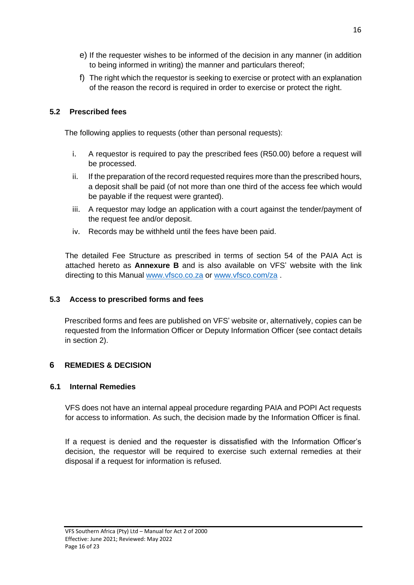- e) If the requester wishes to be informed of the decision in any manner (in addition to being informed in writing) the manner and particulars thereof;
- f) The right which the requestor is seeking to exercise or protect with an explanation of the reason the record is required in order to exercise or protect the right.

# <span id="page-15-0"></span>**5.2 Prescribed fees**

The following applies to requests (other than personal requests):

- i. A requestor is required to pay the prescribed fees (R50.00) before a request will be processed.
- ii. If the preparation of the record requested requires more than the prescribed hours, a deposit shall be paid (of not more than one third of the access fee which would be payable if the request were granted).
- iii. A requestor may lodge an application with a court against the tender/payment of the request fee and/or deposit.
- iv. Records may be withheld until the fees have been paid.

The detailed Fee Structure as prescribed in terms of section 54 of the PAIA Act is attached hereto as **Annexure B** and is also available on VFS' website with the link directing to this Manual [www.vfsco.co.za](http://www.vfsco.co.za/) or [www.vfsco.com/za](http://www.vfsco.com/za).

# <span id="page-15-1"></span>**5.3 Access to prescribed forms and fees**

Prescribed forms and fees are published on VFS' website or, alternatively, copies can be requested from the Information Officer or Deputy Information Officer (see contact details in section 2).

# <span id="page-15-2"></span>**6 REMEDIES & DECISION**

#### <span id="page-15-3"></span>**6.1 Internal Remedies**

VFS does not have an internal appeal procedure regarding PAIA and POPI Act requests for access to information. As such, the decision made by the Information Officer is final.

If a request is denied and the requester is dissatisfied with the Information Officer's decision, the requestor will be required to exercise such external remedies at their disposal if a request for information is refused.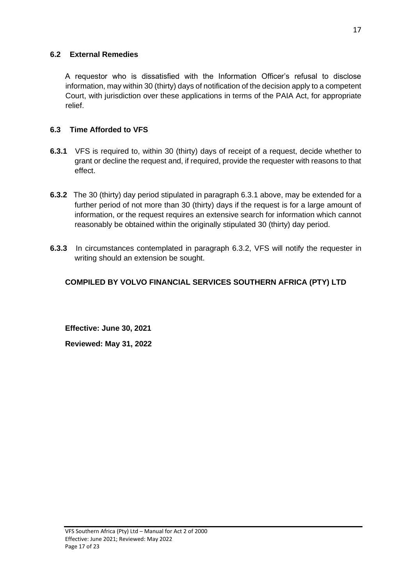#### <span id="page-16-0"></span>**6.2 External Remedies**

A requestor who is dissatisfied with the Information Officer's refusal to disclose information, may within 30 (thirty) days of notification of the decision apply to a competent Court, with jurisdiction over these applications in terms of the PAIA Act, for appropriate relief.

# <span id="page-16-1"></span>**6.3 Time Afforded to VFS**

- **6.3.1** VFS is required to, within 30 (thirty) days of receipt of a request, decide whether to grant or decline the request and, if required, provide the requester with reasons to that effect.
- **6.3.2** The 30 (thirty) day period stipulated in paragraph 6.3.1 above, may be extended for a further period of not more than 30 (thirty) days if the request is for a large amount of information, or the request requires an extensive search for information which cannot reasonably be obtained within the originally stipulated 30 (thirty) day period.
- **6.3.3** In circumstances contemplated in paragraph 6.3.2, VFS will notify the requester in writing should an extension be sought.

# **COMPILED BY VOLVO FINANCIAL SERVICES SOUTHERN AFRICA (PTY) LTD**

**Effective: June 30, 2021 Reviewed: May 31, 2022**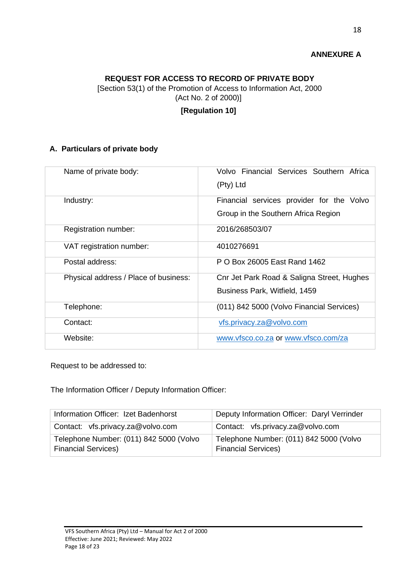# **ANNEXURE A**

#### **REQUEST FOR ACCESS TO RECORD OF PRIVATE BODY**

[Section 53(1) of the Promotion of Access to Information Act, 2000 (Act No. 2 of 2000)]

#### **[Regulation 10]**

#### **A. Particulars of private body**

| Name of private body:                 | Volvo Financial Services Southern Africa<br>(Pty) Ltd |
|---------------------------------------|-------------------------------------------------------|
|                                       |                                                       |
| Industry:                             | Financial services provider for the Volvo             |
|                                       | Group in the Southern Africa Region                   |
| Registration number:                  | 2016/268503/07                                        |
| VAT registration number:              | 4010276691                                            |
| Postal address:                       | P O Box 26005 East Rand 1462                          |
| Physical address / Place of business: | Cnr Jet Park Road & Saligna Street, Hughes            |
|                                       | Business Park, Witfield, 1459                         |
| Telephone:                            | (011) 842 5000 (Volvo Financial Services)             |
| Contact:                              | vfs.privacy.za@volvo.com                              |
| Website:                              | www.vfsco.co.za or www.vfsco.com/za                   |

Request to be addressed to:

The Information Officer / Deputy Information Officer:

| Information Officer: Izet Badenhorst                                  | Deputy Information Officer: Daryl Verrinder                           |
|-----------------------------------------------------------------------|-----------------------------------------------------------------------|
| Contact: vfs.privacy.za@volvo.com                                     | Contact: vfs.privacy.za@volvo.com                                     |
| Telephone Number: (011) 842 5000 (Volvo<br><b>Financial Services)</b> | Telephone Number: (011) 842 5000 (Volvo<br><b>Financial Services)</b> |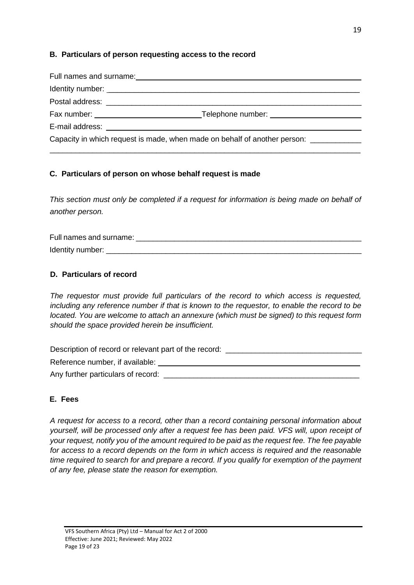#### **B. Particulars of person requesting access to the record**

| Postal address: experience and a series of the series of the series of the series of the series of the series of the series of the series of the series of the series of the series of the series of the series of the series |
|-------------------------------------------------------------------------------------------------------------------------------------------------------------------------------------------------------------------------------|
|                                                                                                                                                                                                                               |
|                                                                                                                                                                                                                               |
| Capacity in which request is made, when made on behalf of another person: ____________                                                                                                                                        |

#### **C. Particulars of person on whose behalf request is made**

*This section must only be completed if a request for information is being made on behalf of another person.*

Full names and surname:  $\Box$ Identity number:  $\blacksquare$ 

#### **D. Particulars of record**

*The requestor must provide full particulars of the record to which access is requested, including any reference number if that is known to the requestor, to enable the record to be located. You are welcome to attach an annexure (which must be signed) to this request form should the space provided herein be insufficient.*

Description of record or relevant part of the record: \_\_\_\_\_\_\_\_\_\_\_\_\_\_\_\_\_\_\_\_\_\_\_\_\_\_ Reference number, if available:  $\blacksquare$ 

Any further particulars of record: \_\_\_\_\_\_\_\_\_\_\_\_\_\_\_\_\_\_\_\_\_\_\_\_\_\_\_\_\_\_\_\_\_\_\_\_\_\_\_\_\_\_\_\_\_\_

#### **E. Fees**

*A request for access to a record, other than a record containing personal information about yourself, will be processed only after a request fee has been paid. VFS will, upon receipt of your request, notify you of the amount required to be paid as the request fee. The fee payable for access to a record depends on the form in which access is required and the reasonable time required to search for and prepare a record. If you qualify for exemption of the payment of any fee, please state the reason for exemption.*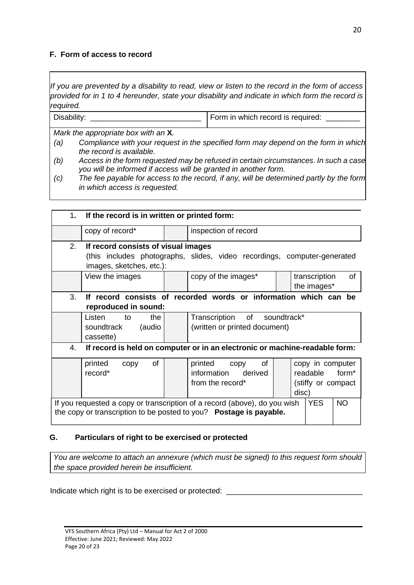#### **F. Form of access to record**

*If you are prevented by a disability to read, view or listen to the record in the form of access provided for in 1 to 4 hereunder, state your disability and indicate in which form the record is required.*

| Disability: | Form in which record is required: |
|-------------|-----------------------------------|
|-------------|-----------------------------------|

*Mark the appropriate box with an* **X***.*

- *(a) Compliance with your request in the specified form may depend on the form in which the record is available.*
- *(b) Access in the form requested may be refused in certain circumstances. In such a case you will be informed if access will be granted in another form.*
- *(c) The fee payable for access to the record, if any, will be determined partly by the form in which access is requested.*

|                                                                                                                                                                            | 1. If the record is in written or printed form:                                                                                                                         |  |                                                               |  |  |                              |    |
|----------------------------------------------------------------------------------------------------------------------------------------------------------------------------|-------------------------------------------------------------------------------------------------------------------------------------------------------------------------|--|---------------------------------------------------------------|--|--|------------------------------|----|
|                                                                                                                                                                            | copy of record*                                                                                                                                                         |  | inspection of record                                          |  |  |                              |    |
| 2 <sup>1</sup>                                                                                                                                                             | If record consists of visual images<br>(this includes photographs, slides, video recordings, computer-generated<br>images, sketches, etc.):                             |  |                                                               |  |  |                              |    |
|                                                                                                                                                                            | View the images                                                                                                                                                         |  | copy of the images*                                           |  |  | transcription<br>the images* | of |
| 3.                                                                                                                                                                         | If record consists of recorded words or information which can be<br>reproduced in sound:                                                                                |  |                                                               |  |  |                              |    |
|                                                                                                                                                                            | Listen<br>the<br>to<br>(audio<br>soundtrack<br>cassette)                                                                                                                |  | Transcription of soundtrack*<br>(written or printed document) |  |  |                              |    |
| If record is held on computer or in an electronic or machine-readable form:<br>4.                                                                                          |                                                                                                                                                                         |  |                                                               |  |  |                              |    |
|                                                                                                                                                                            | 0f<br>printed copy<br>of<br>printed<br>copy in computer<br>copy<br>record*<br>information derived<br>readable form*<br>from the record*<br>(stiffy or compact)<br>disc) |  |                                                               |  |  |                              |    |
| If you requested a copy or transcription of a record (above), do you wish<br><b>YES</b><br><b>NO</b><br>the copy or transcription to be posted to you? Postage is payable. |                                                                                                                                                                         |  |                                                               |  |  |                              |    |

#### **G. Particulars of right to be exercised or protected**

*You are welcome to attach an annexure (which must be signed) to this request form should the space provided herein be insufficient.*

Indicate which right is to be exercised or protected: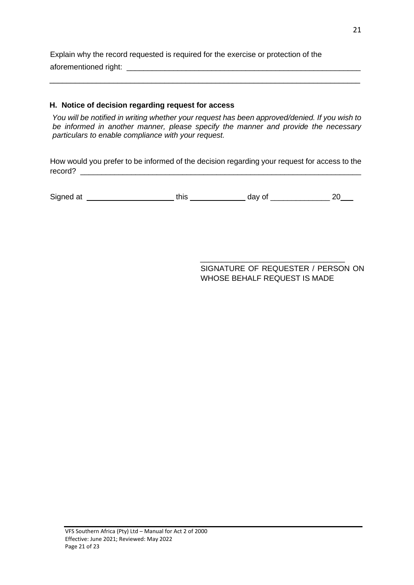Explain why the record requested is required for the exercise or protection of the aforementioned right: \_\_\_\_\_\_\_\_\_\_\_\_\_\_\_\_\_\_\_\_\_\_\_\_\_\_\_\_\_\_\_\_\_\_\_\_\_\_\_\_\_\_\_\_\_\_\_\_\_\_\_\_\_\_\_

#### **H. Notice of decision regarding request for access**

*You will be notified in writing whether your request has been approved/denied. If you wish to be informed in another manner, please specify the manner and provide the necessary particulars to enable compliance with your request.*

 $\_$  . The contribution of the contribution of  $\mathcal{L}_1$  ,  $\mathcal{L}_2$  ,  $\mathcal{L}_3$  ,  $\mathcal{L}_4$  ,  $\mathcal{L}_5$  ,  $\mathcal{L}_6$  ,  $\mathcal{L}_7$  ,  $\mathcal{L}_8$  ,  $\mathcal{L}_9$  ,  $\mathcal{L}_9$  ,  $\mathcal{L}_1$  ,  $\mathcal{L}_2$  ,  $\mathcal{L}_3$  ,  $\mathcal{L}_5$  ,  $\mathcal{L}_$ 

How would you prefer to be informed of the decision regarding your request for access to the record?

Signed at \_\_\_\_\_\_\_\_\_\_\_\_\_\_\_\_\_\_\_\_\_\_\_\_\_\_\_\_\_\_\_\_\_ this \_\_\_\_\_\_\_\_\_\_\_\_\_\_\_\_\_\_\_\_\_\_\_\_ day of \_\_\_\_\_\_\_\_\_\_\_\_\_\_\_\_\_\_\_\_\_\_ 20\_\_\_\_

\_\_\_\_\_\_\_\_\_\_\_\_\_\_\_\_\_\_\_\_\_\_\_\_\_\_\_\_\_\_\_\_\_\_ SIGNATURE OF REQUESTER / PERSON ON WHOSE BEHALF REQUEST IS MADE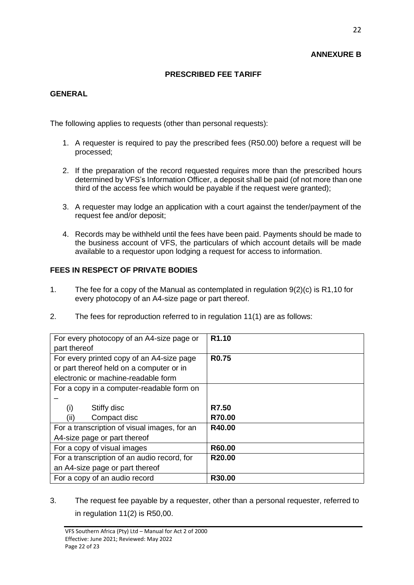# **ANNEXURE B**

# **PRESCRIBED FEE TARIFF**

# **GENERAL**

The following applies to requests (other than personal requests):

- 1. A requester is required to pay the prescribed fees (R50.00) before a request will be processed;
- 2. If the preparation of the record requested requires more than the prescribed hours determined by VFS's Information Officer, a deposit shall be paid (of not more than one third of the access fee which would be payable if the request were granted);
- 3. A requester may lodge an application with a court against the tender/payment of the request fee and/or deposit;
- 4. Records may be withheld until the fees have been paid. Payments should be made to the business account of VFS, the particulars of which account details will be made available to a requestor upon lodging a request for access to information.

# **FEES IN RESPECT OF PRIVATE BODIES**

- 1. The fee for a copy of the Manual as contemplated in regulation 9(2)(c) is R1,10 for every photocopy of an A4-size page or part thereof.
- 2. The fees for reproduction referred to in regulation 11(1) are as follows:

| For every photocopy of an A4-size page or    | R <sub>1.10</sub>  |
|----------------------------------------------|--------------------|
| part thereof                                 |                    |
| For every printed copy of an A4-size page    | <b>R0.75</b>       |
| or part thereof held on a computer or in     |                    |
| electronic or machine-readable form          |                    |
| For a copy in a computer-readable form on    |                    |
|                                              |                    |
| Stiffy disc<br>(i)                           | R7.50              |
| (ii)<br>Compact disc                         | R70.00             |
| For a transcription of visual images, for an | R40.00             |
| A4-size page or part thereof                 |                    |
| For a copy of visual images                  | R60.00             |
| For a transcription of an audio record, for  | R <sub>20.00</sub> |
| an A4-size page or part thereof              |                    |
| For a copy of an audio record                | R30.00             |

3. The request fee payable by a requester, other than a personal requester, referred to in regulation 11(2) is R50,00.